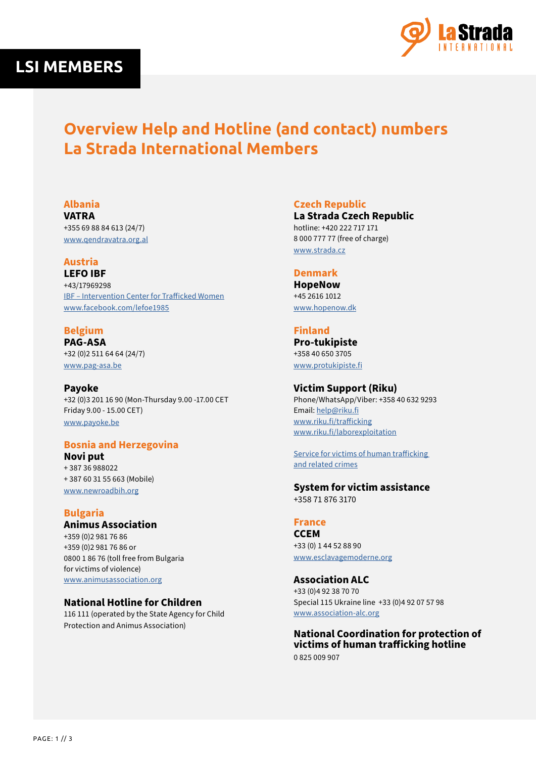



# **Overview Help and Hotline (and contact) numbers La Strada International Members**

## **Albania**

**VATRA** +355 69 88 84 613 (24/7) [www.qendravatra.org.al](http://www.qendravatra.org.al)

## **Austria**

**LEFO IBF** +43/17969298 [IBF – Intervention Center for Trafficked Women](https://lefoe.at/en/ibf-intervention-center-for-trafficked-women/) [www.facebook.com/lefoe1985](http://www.facebook.com/lefoe1985)

## **Belgium PAG-ASA**

+32 (0)2 511 64 64 (24/7) [www.pag-asa.be](http://www.pag-asa.be)

**Payoke**  +32 (0)3 201 16 90 (Mon-Thursday 9.00 -17.00 CET Friday 9.00 - 15.00 CET) [www.payoke.be](http://www.payoke.be)

## **Bosnia and Herzegovina**

**Novi put** + 387 36 988022 + 387 60 31 55 663 (Mobile) [www.newroadbih.org](http://www.newroadbih.org)

## **Bulgaria**

**Animus Association** +359 (0)2 981 76 86 +359 (0)2 981 76 86 or 0800 1 86 76 (toll free from Bulgaria for victims of violence) [www.animusassociation.org](https://animusassociation.org/)

## **National Hotline for Children**

116 111 (operated by the State Agency for Child Protection and Animus Association)

**Czech Republic**

**La Strada Czech Republic**  hotline: +420 222 717 171 8 000 777 77 (free of charge) [www.strada.cz](http://www.strada.cz)

#### **Denmark**

**HopeNow** +45 2616 1012 [www.hopenow.dk](http://www.hopenow.dk)

#### **Finland**

**Pro-tukipiste**  +358 40 650 3705 [www.protukipiste.fi](http://www.protukipiste.fi)

#### **Victim Support (Riku)**

Phone/WhatsApp/Viber: +358 40 632 9293 Email: [help@riku.fi](mailto:help%40riku.fi?subject=) www[.riku.fi/trafficking](http://www.riku.fi/trafficking) [www.riku.fi/laborexploitation](mailto:www.riku.fi/laborexploitation?subject=)

[Service for victims of human trafficking](https://www.riku.fi/en/services/service-for-victims-of-human-trafficking-and-related-crimes/)  [and related crimes](https://www.riku.fi/en/services/service-for-victims-of-human-trafficking-and-related-crimes/)

#### **System for victim assistance**  +358 71 876 3170

**France CCEM**

+33 (0) 1 44 52 88 90 [www.esclavagemoderne.org](http://www.esclavagemoderne.org)

## **Association ALC**

+33 (0)4 92 38 70 70 Special 115 Ukraine line +33 (0)4 92 07 57 98 [www.association-alc.org](http://www.association-alc.org)

**National Coordination for protection of victims of human trafficking hotline** 0 825 009 907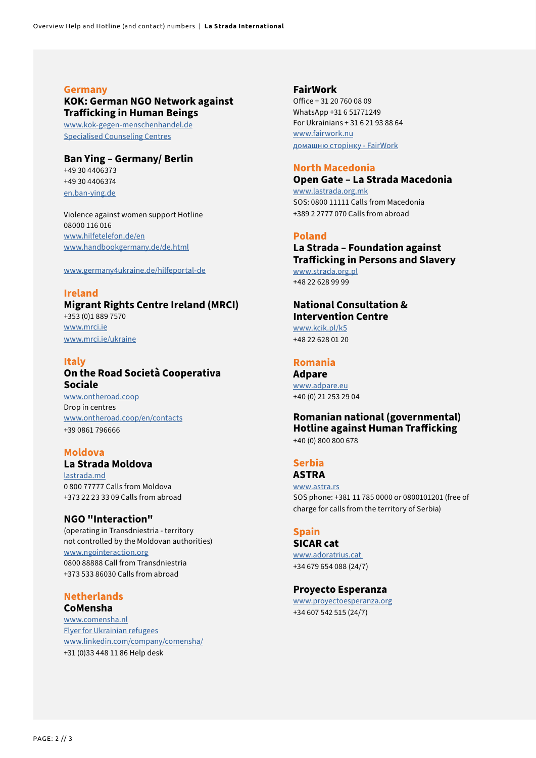#### **Germany**

## **KOK: German NGO Network against Trafficking in Human Beings**

[www.kok-gegen-menschenhandel.de](http://www.kok-gegen-menschenhandel.de) [Specialised Counseling Centres](https://www.kok-gegen-menschenhandel.de/en/kok/specialised-counselling-centres)

#### **Ban Ying – Germany/ Berlin**

+49 30 4406373 +49 30 4406374 [en.ban-ying.de](http://en.ban-ying.de)

Violence against women support Hotline 08000 116 016 [www.hilfetelefon.de/en](http://www.hilfetelefon.de/en) [www.handbookgermany.de/de.html](http://www.handbookgermany.de/de.html)

www.germany4ukraine.de/hilfeportal-de

#### **Ireland**

**Migrant Rights Centre Ireland (MRCI)** +353 (0)1 889 7570 [www.mrci.ie](http://www.mrci.ie) [www.mrci.ie/ukraine](http://www.mrci.ie/ukraine)

#### **Italy**

## **On the Road Società Cooperativa Sociale**

[www.ontheroad.coop](https://www.ontheroad.coop) Drop in centres [www.ontheroad.coop/en/contacts](https://www.ontheroad.coop/en/contacts/) +39 0861 796666

#### **Moldova**

## **La Strada Moldova**

[lastrada.md](http://lastrada.md) 0 800 77777 Calls from Moldova +373 22 23 33 09 Calls from abroad

#### **NGO "Interaction"**

(operating in Transdniestria - territory not controlled by the Moldovan authorities) [www.ngointeraction.org](http://www.ngointeraction.org)  0800 88888 Call from Transdniestria +373 533 86030 Calls from abroad

#### **Netherlands CoMensha**

[www.comensha.nl](http://www.comensha.nl) [Flyer for Ukrainian refugees](https://www.comensha.nl/StippWebDLL/Resources/Handlers/DownloadBestand.ashx?ID=1000024563) [www.linkedin.com/company/comensha/](https://www.linkedin.com/company/comensha/) +31 (0)33 448 11 86 Help desk

#### **FairWork**

Office + 31 20 760 08 09 WhatsApp +31 6 51771249 For Ukrainians + 31 6 21 93 88 64 [www.fairwork.nu](http://www.fairwork.nu) [домашню сторінку - FairWork](https://www.fairwork.nu/uk/%d0%b4%d0%be%d0%bc%d0%b0%d1%88%d0%bd%d1%8e-%d1%81%d1%82%d0%be%d1%80%d1%96%d0%bd%d0%ba%d1%83/)

#### **North Macedonia**

**Open Gate – La Strada Macedonia**  [www.lastrada.org.mk](http://www.lastrada.org.mk) SOS: 0800 11111 Calls from Macedonia +389 2 2777 070 Calls from abroad

#### **Poland**

**La Strada – Foundation against Trafficking in Persons and Slavery**  [www.strada.org.pl](http://www.strada.org.pl) +48 22 628 99 99

#### **National Consultation & Intervention Centre** www.[kcik.pl/k5](https://kcik.pl/k5) +48 22 628 01 20

#### **Romania**

**Adpare**  [www.adpare.eu](http://www.adpare.eu) +40 (0) 21 253 29 04

#### **Romanian national (governmental) Hotline against Human Trafficking** +40 (0) 800 800 678

**Serbia**

#### **ASTRA**

[www.astra.rs](http://www.astra.rs) SOS phone: +381 11 785 0000 or 0800101201 (free of charge for calls from the territory of Serbia)

#### **Spain**

**SICAR cat**  [www.adoratrius.cat](http://www.adoratrius.cat )  +34 679 654 088 (24/7)

#### **Proyecto Esperanza**

[www.proyectoesperanza.org](http://www.proyectoesperanza.org) +34 607 542 515 (24/7)